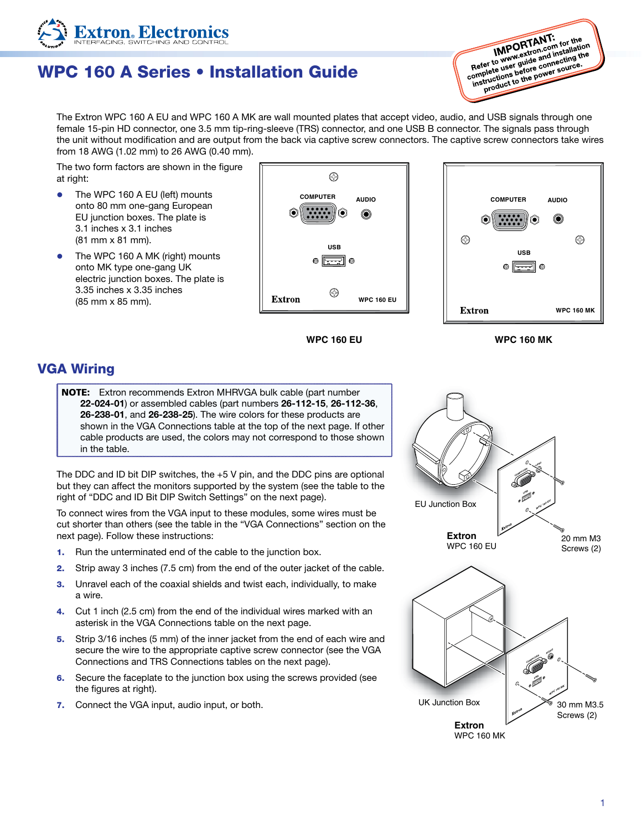## WPC 160 A Series • Installation Guide

**IMPORTANT:**<br>IMPORTANT: **IMPORTANT:**<br> **IMPORTANT:** for the *IMPORTANT*: for the www.extron.com for latition<br>
Refer to www.guide aonnecting the<br>
nplete use before conver source. **IMPORTANT:** for the<br> **Refer to www.extron.com** installation<br>
Refer to www.guide and installation<br>
complete uses before comer source. IMPOLATION communition<br>Refer to www.euide and installation<br>complete user guide commercing the<br>comptructions better power source. fer to www.vide and connecting up<br>plete uses before connecting up<br>structions before cower source.<br>product to the power source.

The Extron WPC 160 A EU and WPC 160 A MK are wall mounted plates that accept video, audio, and USB signals through one female 15-pin HD connector, one 3.5 mm tip-ring-sleeve (TRS) connector, and one USB B connector. The signals pass through the unit without modification and are output from the back via captive screw connectors. The captive screw connectors take wires from 18 AWG (1.02 mm) to 26 AWG (0.40 mm).

The two form factors are shown in the figure at right:

**xtron**. Electron

- $\bullet$  The WPC 160 A EU (left) mounts onto 80 mm one-gang European EU junction boxes. The plate is 3.1 inches x 3.1 inches (81 mm x 81 mm).
- The WPC 160 A MK (right) mounts onto MK type one-gang UK electric junction boxes. The plate is 3.35 inches x 3.35 inches (85 mm x 85 mm).





**WPC 160 EU**

**WPC 160 MK**

#### VGA Wiring

NOTE: Extron recommends Extron MHRVGA bulk cable (part number 22‑024‑01) or assembled cables (part numbers 26‑112‑15, 26‑112‑36, 26‑238‑01, and 26‑238‑25). The wire colors for these products are shown in the VGA Connections table at the top of the next page. If other cable products are used, the colors may not correspond to those shown in the table.

The DDC and ID bit DIP switches, the +5 V pin, and the DDC pins are optional but they can affect the monitors supported by the system (see the table to the right of "DDC and ID Bit DIP Switch Settings" on the next page).

To connect wires from the VGA input to these modules, some wires must be cut shorter than others (see the table in the "VGA Connections" section on the next page). Follow these instructions:

- 1. Run the unterminated end of the cable to the junction box.
- 2. Strip away 3 inches (7.5 cm) from the end of the outer jacket of the cable.
- 3. Unravel each of the coaxial shields and twist each, individually, to make a wire.
- 4. Cut 1 inch (2.5 cm) from the end of the individual wires marked with an asterisk in the VGA Connections table on the next page.
- 5. Strip 3/16 inches (5 mm) of the inner jacket from the end of each wire and secure the wire to the appropriate captive screw connector (see the VGA Connections and TRS Connections tables on the next page).
- 6. Secure the faceplate to the junction box using the screws provided (see the figures at right).
- 7. Connect the VGA input, audio input, or both.